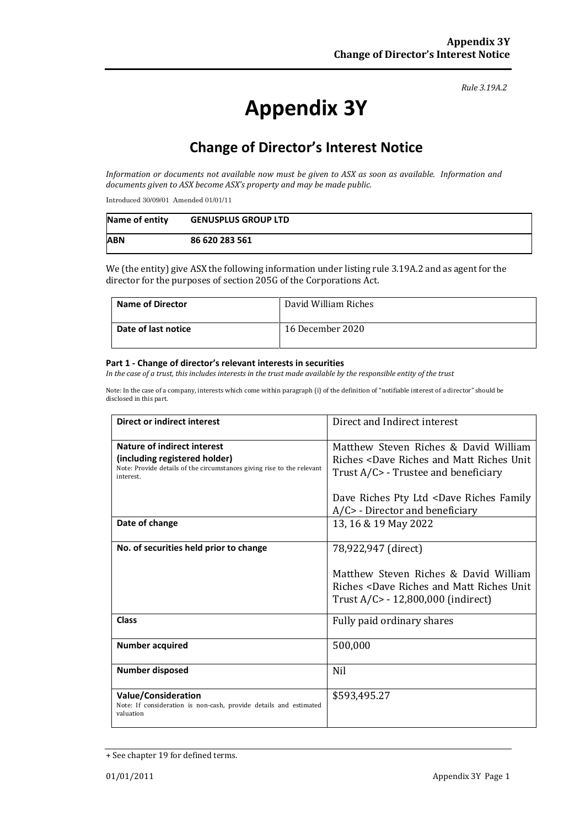#### *Rule 3.19A.2*

# **Appendix 3Y**

# **Change of Director's Interest Notice**

*Information or documents not available now must be given to ASX as soon as available. Information and documents given to ASX become ASX's property and may be made public.*

Introduced 30/09/01 Amended 01/01/11

| Name of entity | <b>GENUSPLUS GROUP LTD</b> |
|----------------|----------------------------|
| <b>ABN</b>     | 86 620 283 561             |

We (the entity) give ASX the following information under listing rule 3.19A.2 and as agent for the director for the purposes of section 205G of the Corporations Act.

| <b>Name of Director</b> | David William Riches |
|-------------------------|----------------------|
| Date of last notice     | 16 December 2020     |

#### **Part 1 - Change of director's relevant interests in securities**

*In the case of a trust, this includes interests in the trust made available by the responsible entity of the trust*

Note: In the case of a company, interests which come within paragraph (i) of the definition of "notifiable interest of a director" should be disclosed in this part.

| <b>Direct or indirect interest</b>                                                                                                                  | Direct and Indirect interest                                                                                                                                  |  |
|-----------------------------------------------------------------------------------------------------------------------------------------------------|---------------------------------------------------------------------------------------------------------------------------------------------------------------|--|
| Nature of indirect interest<br>(including registered holder)<br>Note: Provide details of the circumstances giving rise to the relevant<br>interest. | Matthew Steven Riches & David William<br>Riches <dave and="" matt="" riches="" unit<br="">Trust A/C&gt; - Trustee and beneficiary</dave>                      |  |
|                                                                                                                                                     | Dave Riches Pty Ltd <dave family<br="" riches=""><math>A/C</math> - Director and beneficiary</dave>                                                           |  |
| Date of change                                                                                                                                      | 13, 16 & 19 May 2022                                                                                                                                          |  |
| No. of securities held prior to change                                                                                                              | 78,922,947 (direct)<br>Matthew Steven Riches & David William<br>Riches <dave and="" matt="" riches="" unit<br="">Trust A/C&gt; - 12,800,000 (indirect)</dave> |  |
| <b>Class</b>                                                                                                                                        | Fully paid ordinary shares                                                                                                                                    |  |
| <b>Number acquired</b>                                                                                                                              | 500,000                                                                                                                                                       |  |
| <b>Number disposed</b>                                                                                                                              | Nil                                                                                                                                                           |  |
| <b>Value/Consideration</b><br>Note: If consideration is non-cash, provide details and estimated<br>valuation                                        | \$593,495.27                                                                                                                                                  |  |

<sup>+</sup> See chapter 19 for defined terms.